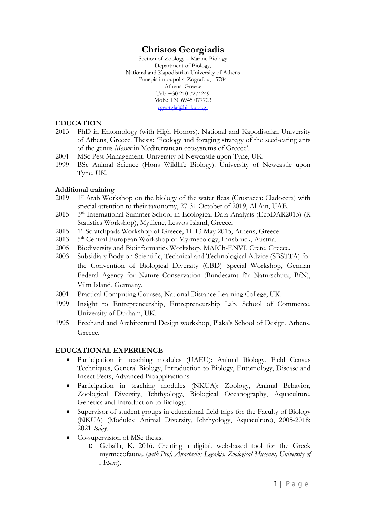# **Christos Georgiadis**

Section of Zoology – Marine Biology Department of Biology, National and Kapodistrian University of Athens Panepistimioupolis, Zografou, 15784 Athens, Greece Tel.: +30 210 7274249 Mob.: +30 6945 077723 [cgeorgia@biol.uoa.gr](mailto:cgeorgia@biol.uoa.gr)

#### **EDUCATION**

- 2013 PhD in Entomology (with High Honors). National and Kapodistrian University of Athens, Greece. Thesis: 'Ecology and foraging strategy of the seed-eating ants of the genus *Messor* in Mediterranean ecosystems of Greece'.
- 2001 MSc Pest Management. University of Newcastle upon Tyne, UK.
- 1999 BSc Animal Science (Hons Wildlife Biology). University of Newcastle upon Tyne, UK.

#### **Additional training**

- $2019$  1<sup>st</sup> Arab Workshop on the biology of the water fleas (Crustacea: Cladocera) with special attention to their taxonomy, 27-31 October of 2019, Al Ain, UAE.
- 2015 3rd International Summer School in Ecological Data Analysis (EcoDAR2015) (R Statistics Workshop), Mytilene, Lesvos Island, Greece.
- 2015 1<sup>st</sup> Scratchpads Workshop of Greece, 11-13 May 2015, Athens, Greece.
- 2013 5<sup>th</sup> Central European Workshop of Myrmecology, Innsbruck, Austria.
- 2005 Biodiversity and Bioinformatics Workshop, MAICh-ENVI, Crete, Greece.
- 2003 Subsidiary Body on Scientific, Technical and Technological Advice (SBSTTA) for the Convention of Biological Diversity (CBD) Special Workshop, German Federal Agency for Nature Conservation (Bundesamt für Naturschutz, BfN), Vilm Island, Germany.
- 2001 Practical Computing Courses, National Distance Learning College, UK.
- 1999 Insight to Entrepreneurship, Entrepreneurship Lab, School of Commerce, University of Durham, UK.
- 1995 Freehand and Architectural Design workshop, Plaka's School of Design, Athens, Greece.

# **EDUCATIONAL EXPERIENCE**

- Participation in teaching modules (UAEU): Animal Biology, Field Census Techniques, General Biology, Introduction to Biology, Entomology, Disease and Insect Pests, Advanced Bioappliactions.
- Participation in teaching modules (NKUA): Zoology, Animal Behavior, Zoological Diversity, Ichthyology, Biological Oceanography, Aquaculture, Genetics and Introduction to Biology.
- Supervisor of student groups in educational field trips for the Faculty of Biology (NKUA) (Modules: Animal Diversity, Ichthyology, Aquaculture), 2005-2018; 2021-*today*.
- Co-supervision of MSc thesis.
	- o Geballa, K. 2016. Creating a digital, web-based tool for the Greek myrmecofauna. (*with Prof. Anastasios Legakis, Zoological Museum, University of Athens*).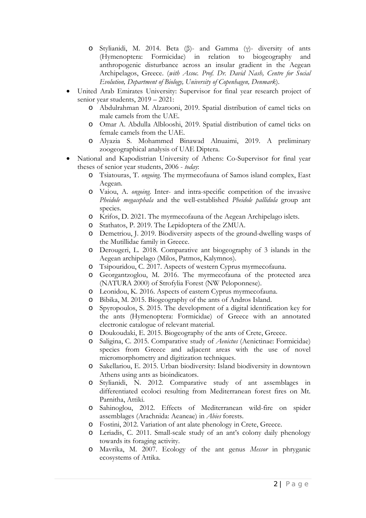- o Stylianidi, M. 2014. Beta (β)- and Gamma (γ)- diversity of ants Formicidae) in relation to anthropogenic disturbance across an insular gradient in the Aegean Archipelagos, Greece. (*with Assoc. Prof. Dr. David Nash, Centre for Social Evolution, Department of Biology, University of Copenhagen, Denmark*).
- United Arab Emirates University: Supervisor for final year research project of senior year students, 2019 – 2021:
	- o Abdulrahman M. Alzarooni, 2019. Spatial distribution of camel ticks on male camels from the UAE.
	- o Omar A. Abdulla Alblooshi, 2019. Spatial distribution of camel ticks on female camels from the UAE.
	- o Alyazia S. Mohammed Binawad Alnuaimi, 2019. A preliminary zoogeographical analysis of UAE Diptera.
- National and Kapodistrian University of Athens: Co-Supervisor for final year theses of senior year students, 2006 - *today*:
	- o Tsiatouras, T. *ongoing*. The myrmecofauna of Samos island complex, East Aegean.
	- o Vaiou, A. *ongoing*. Inter- and intra-specific competition of the invasive *Pheidole megacephala* and the well-established *Pheidole pallidula* group ant species.
	- o Krifos, D. 2021. The myrmecofauna of the Aegean Archipelago islets.
	- o Stathatos, P. 2019*.* The Lepidoptera of the ZMUA.
	- o Demetriou, J. 2019. Biodiversity aspects of the ground-dwelling wasps of the Mutillidae family in Greece.
	- o Derougeri, L. 2018*.* Comparative ant biogeography of 3 islands in the Aegean archipelago (Milos, Patmos, Kalymnos).
	- o Tsipouridou, C. 2017. Aspects of western Cyprus myrmecofauna.
	- o Georgantzoglou, M. 2016. The myrmecofauna of the protected area (NATURA 2000) of Strofylia Forest (NW Peloponnese).
	- o Leonidou, K. 2016. Aspects of eastern Cyprus myrmecofauna.
	- o Bibika, M. 2015. Biogeography of the ants of Andros Island.
	- o Spyropoulos, S. 2015. The development of a digital identification key for the ants (Hymenoptera: Formicidae) of Greece with an annotated electronic catalogue of relevant material.
	- o Doukoudaki, E. 2015. Biogeography of the ants of Crete, Greece.
	- o Saligina, C. 2015. Comparative study of *Aenictus* (Aenictinae: Formicidae) species from Greece and adjacent areas with the use of novel micromorphometry and digitization techniques.
	- o Sakellariou, E. 2015. Urban biodiversity: Island biodiversity in downtown Athens using ants as bioindicators.
	- o Stylianidi, N. 2012. Comparative study of ant assemblages in differentiated ecoloci resulting from Mediterranean forest fires on Mt. Parnitha, Attiki.
	- o Sahinoglou, 2012. Effects of Mediterranean wild-fire on spider assemblages (Arachnida: Aeaneae) in *Abies* forests.
	- o Fostini, 2012. Variation of ant alate phenology in Crete, Greece.
	- o Leriadis, C. 2011. Small-scale study of an ant's colony daily phenology towards its foraging activity.
	- o Mavrika, M. 2007. Ecology of the ant genus *Messor* in phryganic ecosystems of Attika.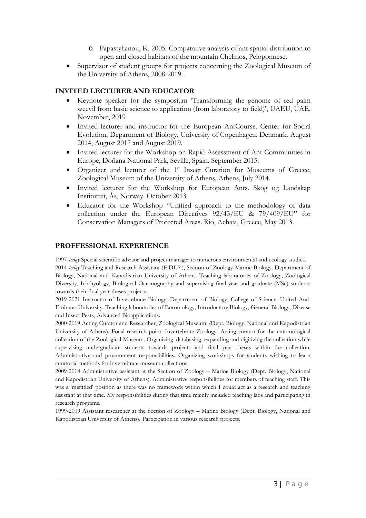- o Papastylianou, K. 2005. Comparative analysis of ant spatial distribution to open and closed habitats of the mountain Chelmos, Peloponnese.
- Supervisor of student groups for projects concerning the Zoological Museum of the University of Athens, 2008-2019.

## **INVITED LECTURER AND EDUCATOR**

- Keynote speaker for the symposium 'Transforming the genome of red palm weevil from basic science to application (from laboratory to field)', UAEU, UAE. November, 2019
- Invited lecturer and instructor for the European AntCourse. Center for Social Evolution, Department of Biology, University of Copenhagen, Denmark. August 2014, August 2017 and August 2019.
- Invited lecturer for the Workshop on Rapid Assessment of Ant Communities in Europe, Doñana National Park, Seville, Spain. September 2015.
- Organizer and lecturer of the  $1<sup>st</sup>$  Insect Curation for Museums of Greece, Zoological Museum of the University of Athens, Athens, July 2014.
- Invited lecturer for the Workshop for European Ants. Skog og Landskap Instituttet, Ås, Norway. October 2013
- Educator for the Workshop "Unified approach to the methodology of data collection under the European Directives 92/43/EU & 79/409/EU" for Conservation Managers of Protected Areas. Rio, Achaia, Greece, May 2013.

#### **PROFFESSIONAL EXPERIENCE**

1997-*today* Special scientific advisor and project manager to numerous environmental and ecology studies. 2014-*today* Teaching and Research Assistant (E.DI.P.), Section of Zoology-Marine Biology. Department of Biology, National and Kapodistrian University of Athens. Teaching laboratories of Zoology, Zoological Diversity, Ichthyology, Biological Oceanography and supervising final year and graduate (MSc) students towards their final year theses projects.

2019-2021 Instructor of Invertebrate Biology, Department of Biology, College of Science, United Arab Emirates University. Teaching laboratories of Entomology, Introductory Biology, General Biology, Disease and Insect Pests, Advanced Bioapplications.

2000-2019 Acting Curator and Researcher, Zoological Museum, (Dept. Biology, National and Kapodistrian University of Athens). Focal research point: Invertebrate Zoology. Acting curator for the entomological collection of the Zoological Museum. Organizing, databasing, expanding and digitizing the collection while supervising undergraduate students towards projects and final year theses within the collection. Administrative and procurement responsibilities. Organizing workshops for students wishing to learn curatorial methods for invertebrate museum collections.

2009-2014 Administrative assistant at the Section of Zoology – Marine Biology (Dept. Biology, National and Kapodistrian University of Athens). Administrative responsibilities for members of teaching staff. This was a 'mistitled' position as there was no framework within which I could act as a research and teaching assistant at that time. My responsibilities during that time mainly included teaching labs and participating in research programs.

1999-2009 Assistant researcher at the Section of Zoology – Marine Biology (Dept. Biology, National and Kapodistrian University of Athens). Participation in various research projects.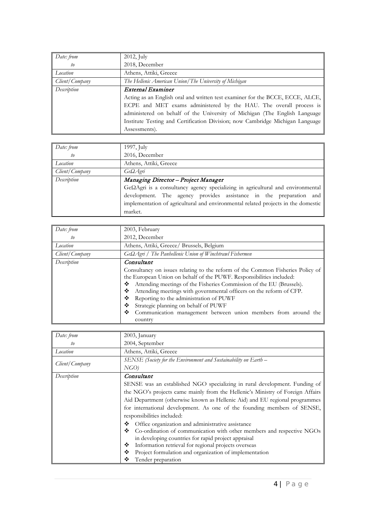| Date: from     | $2012$ , July                                                                 |  |  |
|----------------|-------------------------------------------------------------------------------|--|--|
| to             | 2018, December                                                                |  |  |
| Location       | Athens, Attiki, Greece                                                        |  |  |
| Client/Company | The Hellenic American Union/The University of Michigan                        |  |  |
| Description    | External Examiner                                                             |  |  |
|                | Acting as an English oral and written test examiner for the BCCE, ECCE, ALCE, |  |  |
|                | ECPE and MET exams administered by the HAU. The overall process is            |  |  |
|                | administered on behalf of the University of Michigan (The English Language    |  |  |
|                | Institute Testing and Certification Division; now Cambridge Michigan Language |  |  |
|                | Assessments).                                                                 |  |  |

| Date: from     | $1997$ , July                                                                          |  |  |
|----------------|----------------------------------------------------------------------------------------|--|--|
| to             | 2016, December                                                                         |  |  |
| Location       | Athens, Attiki, Greece                                                                 |  |  |
| Client/Company | $Ge\Omega$ <i>Agri</i>                                                                 |  |  |
| Description    | Managing Director - Project Manager                                                    |  |  |
|                | $Ge\Omega$ Agri is a consultancy agency specializing in agricultural and environmental |  |  |
|                | development. The agency provides assistance in the preparation and                     |  |  |
|                | implementation of agricultural and environmental related projects in the domestic      |  |  |
|                | market.                                                                                |  |  |

| Date: from     | 2003, February                                                                                                                                                                                                                                                                                                                                                                                                                                                                                               |  |
|----------------|--------------------------------------------------------------------------------------------------------------------------------------------------------------------------------------------------------------------------------------------------------------------------------------------------------------------------------------------------------------------------------------------------------------------------------------------------------------------------------------------------------------|--|
| to             | 2012, December                                                                                                                                                                                                                                                                                                                                                                                                                                                                                               |  |
| Location       | Athens, Attiki, Greece/ Brussels, Belgium                                                                                                                                                                                                                                                                                                                                                                                                                                                                    |  |
| Client/Company | $Ge\Omega$ <i>Agri</i> / The Panhellenic Union of Winchtrawl Fishermen                                                                                                                                                                                                                                                                                                                                                                                                                                       |  |
| Description    | Consultant<br>Consultancy on issues relating to the reform of the Common Fisheries Policy of<br>the European Union on behalf of the PUWF. Responsibilities included:<br>Attending meetings of the Fisheries Commission of the EU (Brussels).<br>❖<br>Attending meetings with governmental officers on the reform of CFP.<br>❖<br>Reporting to the administration of PUWF<br>❖<br>Strategic planning on behalf of PUWF<br>❖<br>❖<br>Communication management between union members from around the<br>country |  |

| Date: from     | 2003, January                                                                  |  |  |  |
|----------------|--------------------------------------------------------------------------------|--|--|--|
| to             | 2004, September                                                                |  |  |  |
| Location       | Athens, Attiki, Greece                                                         |  |  |  |
| Client/Company | SENSE (Society for the Environment and Sustainability on Earth -               |  |  |  |
|                | NGO                                                                            |  |  |  |
| Description    | Consultant                                                                     |  |  |  |
|                | SENSE was an established NGO specializing in rural development. Funding of     |  |  |  |
|                | the NGO's projects came mainly from the Hellenic's Ministry of Foreign Affairs |  |  |  |
|                | Aid Department (otherwise known as Hellenic Aid) and EU regional programmes    |  |  |  |
|                | for international development. As one of the founding members of SENSE,        |  |  |  |
|                | responsibilities included:                                                     |  |  |  |
|                | Office organization and administrative assistance<br>❖                         |  |  |  |
|                | ❖<br>Co-ordination of communication with other members and respective NGOs     |  |  |  |
|                | in developing countries for rapid project appraisal                            |  |  |  |
|                | Information retrieval for regional projects overseas<br>❖                      |  |  |  |
|                | ❖<br>Project formulation and organization of implementation                    |  |  |  |
|                | ❖<br>Tender preparation                                                        |  |  |  |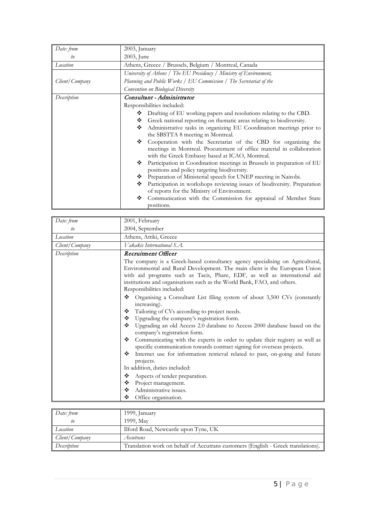| Date: from     | 2003, January                                                                                                                                                                                                                                                                                                                                                                                                                                                                                                                                                                                                                                                                                                                                                                                                                                                                                          |  |  |
|----------------|--------------------------------------------------------------------------------------------------------------------------------------------------------------------------------------------------------------------------------------------------------------------------------------------------------------------------------------------------------------------------------------------------------------------------------------------------------------------------------------------------------------------------------------------------------------------------------------------------------------------------------------------------------------------------------------------------------------------------------------------------------------------------------------------------------------------------------------------------------------------------------------------------------|--|--|
| to             | 2003, June                                                                                                                                                                                                                                                                                                                                                                                                                                                                                                                                                                                                                                                                                                                                                                                                                                                                                             |  |  |
| Location       | Athens, Greece / Brussels, Belgium / Montreal, Canada                                                                                                                                                                                                                                                                                                                                                                                                                                                                                                                                                                                                                                                                                                                                                                                                                                                  |  |  |
|                | University of Athens / The EU Presidency / Ministry of Environment,                                                                                                                                                                                                                                                                                                                                                                                                                                                                                                                                                                                                                                                                                                                                                                                                                                    |  |  |
| Client/Company | Planning and Public Works / EU Commission / The Secretariat of the<br>Convention on Biological Diversity                                                                                                                                                                                                                                                                                                                                                                                                                                                                                                                                                                                                                                                                                                                                                                                               |  |  |
|                |                                                                                                                                                                                                                                                                                                                                                                                                                                                                                                                                                                                                                                                                                                                                                                                                                                                                                                        |  |  |
| Description    | Consultant - Administrator<br>Responsibilities included:                                                                                                                                                                                                                                                                                                                                                                                                                                                                                                                                                                                                                                                                                                                                                                                                                                               |  |  |
|                |                                                                                                                                                                                                                                                                                                                                                                                                                                                                                                                                                                                                                                                                                                                                                                                                                                                                                                        |  |  |
|                | Drafting of EU working papers and resolutions relating to the CBD.<br>❖<br>Greek national reporting on thematic areas relating to biodiversity.<br>❖<br>Administrative tasks in organizing EU Coordination meetings prior to<br>❖<br>the SBSTTA 8 meeting in Montreal.<br>Cooperation with the Secretariat of the CBD for organizing the<br>❖<br>meetings in Montreal. Procurement of office material in collaboration<br>with the Greek Embassy based at ICAO, Montreal.<br>Participation in Coordination meetings in Brussels in preparation of EU<br>❖<br>positions and policy targeting biodiversity.<br>Preparation of Ministerial speech for UNEP meeting in Nairobi.<br>❖<br>Participation in workshops reviewing issues of biodiversity. Preparation<br>❖<br>of reports for the Ministry of Environment.<br>❖<br>Communication with the Commission for appraisal of Member State<br>positions. |  |  |

| Date: from     | 2001, February                                                                                                                                                                                                                                                                                                                                                                                                                                                                                                                                                                                                                                                                                                                                                                                                                                                                                                                                                                                                                                                                                               |  |  |
|----------------|--------------------------------------------------------------------------------------------------------------------------------------------------------------------------------------------------------------------------------------------------------------------------------------------------------------------------------------------------------------------------------------------------------------------------------------------------------------------------------------------------------------------------------------------------------------------------------------------------------------------------------------------------------------------------------------------------------------------------------------------------------------------------------------------------------------------------------------------------------------------------------------------------------------------------------------------------------------------------------------------------------------------------------------------------------------------------------------------------------------|--|--|
| to             | 2004, September                                                                                                                                                                                                                                                                                                                                                                                                                                                                                                                                                                                                                                                                                                                                                                                                                                                                                                                                                                                                                                                                                              |  |  |
| Location       | Athens, Attiki, Greece                                                                                                                                                                                                                                                                                                                                                                                                                                                                                                                                                                                                                                                                                                                                                                                                                                                                                                                                                                                                                                                                                       |  |  |
| Client/Company | Vakakis International S.A.                                                                                                                                                                                                                                                                                                                                                                                                                                                                                                                                                                                                                                                                                                                                                                                                                                                                                                                                                                                                                                                                                   |  |  |
| Description    | Recruitment Officer                                                                                                                                                                                                                                                                                                                                                                                                                                                                                                                                                                                                                                                                                                                                                                                                                                                                                                                                                                                                                                                                                          |  |  |
|                | The company is a Greek-based consultancy agency specialising on Agricultural,<br>Environmental and Rural Development. The main client is the European Union<br>with aid programs such as Tacis, Phare, EDF, as well as international aid<br>institutions and organisations such as the World Bank, FAO, and others.<br>Responsibilities included:<br>❖<br>Organising a Consultant List filing system of about 3,500 CVs (constantly<br>increasing).<br>Tailoring of CVs according to project needs.<br>❖<br>Upgrading the company's registration form.<br>❖<br>Upgrading an old Access 2.0 database to Access 2000 database based on the<br>❖<br>company's registration form.<br>Communicating with the experts in order to update their registry as well as<br>❖<br>specific communication towards contract signing for overseas projects.<br>Internet use for information retrieval related to past, on-going and future<br>❖<br>projects.<br>In addition, duties included:<br>❖<br>Aspects of tender preparation.<br>❖<br>Project management.<br>Administrative issues.<br>❖<br>Office organisation.<br>❖ |  |  |

| Date: from     | 1999, January                                                                     |
|----------------|-----------------------------------------------------------------------------------|
|                | 1999, May                                                                         |
| Location       | Ilford Road, Newcastle upon Tyne, UK                                              |
| Client/Company | Accutrans                                                                         |
| Description    | Translation work on behalf of Accutrans customers (English - Greek translations). |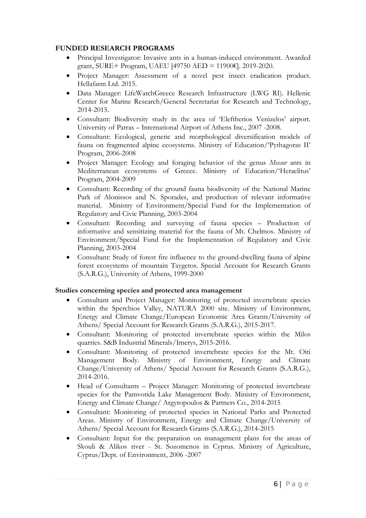## **FUNDED RESEARCH PROGRAMS**

- Principal Investigator: Invasive ants in a human-induced environment. Awarded grant, SURE+ Program, UAEU [49750 AED = 11900€]. 2019-2020.
- Project Manager: Assessment of a novel pest insect eradication product. Hellafarm Ltd. 2015.
- Data Manager: LifeWatchGreece Research Infrastructure (LWG RI). Hellenic Center for Marine Research/General Secretariat for Research and Technology, 2014-2015.
- Consultant: Biodiversity study in the area of 'Eleftherios Venizelos' airport. University of Patras – International Airport of Athens Inc., 2007 -2008.
- Consultant: Ecological, genetic and morphological diversification models of fauna on fragmented alpine ecosystems. Ministry of Education/'Pythagoras II' Program, 2006-2008
- Project Manager: Ecology and foraging behavior of the genus *Messor* ants in Mediterranean ecosystems of Greece. Ministry of Education/'Heraclitus' Program, 2004-2009
- Consultant: Recording of the ground fauna biodiversity of the National Marine Park of Alonissos and N. Sporades, and production of relevant informative material. Ministry of Environment/Special Fund for the Implementation of Regulatory and Civic Planning, 2003-2004
- Consultant: Recording and surveying of fauna species Production of informative and sensitizing material for the fauna of Mt. Chelmos. Ministry of Environment/Special Fund for the Implementation of Regulatory and Civic Planning, 2003-2004
- Consultant: Study of forest fire influence to the ground-dwelling fauna of alpine forest ecosystems of mountain Taygetos. Special Account for Research Grants (S.A.R.G.), University of Athens, 1999-2000

# **Studies concerning species and protected area management**

- Consultant and Project Manager: Monitoring of protected invertebrate species within the Sperchios Valley, NATURA 2000 site. Ministry of Environment, Energy and Climate Change/European Economic Area Grants/University of Athens/ Special Account for Research Grants (S.A.R.G.), 2015-2017.
- Consultant: Monitoring of protected invertebrate species within the Milos quarries. S&B Industrial Minerals/Imerys, 2015-2016.
- Consultant: Monitoring of protected invertebrate species for the Mt. Oiti Management Body. Ministry of Environment, Energy and Climate Change/University of Athens/ Special Account for Research Grants (S.A.R.G.), 2014-2016.
- Head of Consultants Project Manager: Monitoring of protected invertebrate species for the Pamvotida Lake Management Body. Ministry of Environment, Energy and Climate Change/ Argyropoulos & Partners Co., 2014-2015
- Consultant: Monitoring of protected species in National Parks and Protected Areas. Ministry of Environment, Energy and Climate Change/University of Athens/ Special Account for Research Grants (S.A.R.G.), 2014-2015
- Consultant: Input for the preparation on management plans for the areas of Skouli & Alikos river - St. Sozomenos in Cyprus. Ministry of Agriculture, Cyprus/Dept. of Environment, 2006 -2007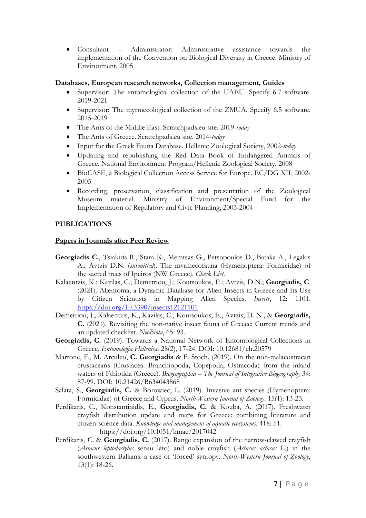• Consultant – Administrator: Administrative assistance towards the implementation of the Convention on Biological Diversity in Greece. Ministry of Environment, 2005

#### **Databases, European research networks, Collection management, Guides**

- Supervisor: The entomological collection of the UAEU. Specify 6.7 software. 2019-2021
- Supervisor: The myrmecological collection of the ZMUA. Specify 6.5 software. 2015-2019
- The Ants of the Middle East. Scratchpads.eu site. 2019-*today*
- The Ants of Greece. Scratchpads.eu site. 2014-*today*
- Input for the Greek Fauna Database. Hellenic Zoological Society, 2002-*today*
- Updating and republishing the Red Data Book of Endangered Animals of Greece. National Environment Program/Hellenic Zoological Society, 2008
- BioCASE, a Biological Collection Access Service for Europe. EC/DG XII, 2002- 2005
- Recording, preservation, classification and presentation of the Zoological Museum material. Ministry of Environment/Special Fund for the Implementation of Regulatory and Civic Planning, 2003-2004

#### **PUBLICATIONS**

#### **Papers in Journals after Peer Review**

- **Georgiadis C.**, Tsiakiris R., Stara K., Memtsas G., Petsopoulos D., Bataka A., Legakis A., Avtzis D.N. (*submitted*). The myrmecofauna (Hymenoptera: Formicidae) of the sacred trees of Ipeiros (NW Greece). *Check List.*
- Kalaentzis, K.; Kazilas, C.; Demetriou, J.; Koutsoukos, E.; Avtzis, D.N.; **Georgiadis, C**. (2021). Alientoma, a Dynamic Database for Alien Insects in Greece and Its Use by Citizen Scientists in Mapping Alien Species. *Insects*, 12: 1101. <https://doi.org/10.3390/insects12121101>
- Demetriou, J., Kalaentzis, K., Kazilas, C., Koutsoukos, E., Avtzis, D. N., & **Georgiadis, C.** (2021). Revisiting the non-native insect fauna of Greece: Current trends and an updated checklist. *NeoBiota*, 65: 93.
- **Georgiadis, C.** (2019). Towards a National Network of Entomological Collections in Greece. *Entomologia Hellenica*. 28(2), 17-24. DOI: 10.12681/eh.20579
- Marrone, F., M. Arculeo, **C. Georgiadis** & F. Stoch. (2019). On the non-malacostracan crustaceans (Crustacea: Branchiopoda, Copepoda, Ostracoda) from the inland waters of Fthiotida (Greece). *Biogeographia – The Journal of Integrative Biogeography* 34: 87-99. DOI: 10.21426/B634043868
- Salata, S., **Georgiadis, C.** & Borowiec, L. (2019). Invasive ant species (Hymenoptera: Formicidae) of Greece and Cyprus. *North-Western Journal of Zoology*. 15(1): 13-23.
- Perdikaris, C., Konstantinidis, E., **Georgiadis, C.** & Kouba, A. (2017). Freshwater crayfish distribution update and maps for Greece: combining literature and citizen-science data. *Knowledge and management of aquatic ecosystems.* 418: 51. https://doi.org/10.1051/kmae/2017042
- Perdikaris, C. & **Georgiadis, C.** (2017). Range expansion of the narrow-clawed crayfish (*Astacus leptodactylus* sensu lato) and noble crayfish (*Astacus astacus* L.) in the southwestern Balkans: a case of 'forced' syntopy. *North-Western Journal of Zoology*, 13(1): 18-26.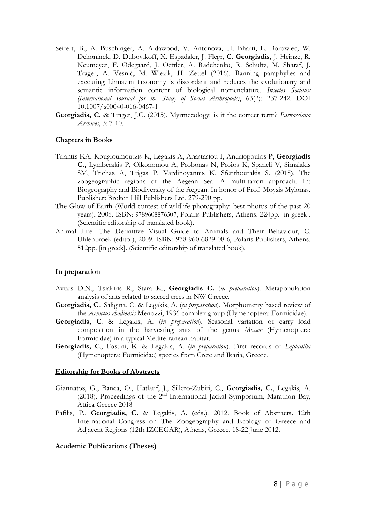- Seifert, B., A. Buschinger, A. Aldawood, V. Antonova, H. Bharti, L. Borowiec, W. Dekoninck, D. Dubovikoff, X. Espadaler, J. Flegr, **C. Georgiadis**, J. Heinze, R. Neumeyer, F. Ødegaard, J. Oettler, A. Radchenko, R. Schultz, M. Sharaf, J. Trager, A. Vesnić, M. Wiezik, H. Zettel (2016). Banning paraphylies and executing Linnaean taxonomy is discordant and reduces the evolutionary and semantic information content of biological nomenclature. *Insectes Sociaux (International Journal for the Study of Social Arthropods)*, 63(2): 237-242. DOI 10.1007/s00040-016-0467-1
- **Georgiadis, C.** & Trager, J.C. (2015). Myrmecology: is it the correct term? *Parnassiana Archives*, 3: 7-10.

#### **Chapters in Books**

- Triantis KA, Kougioumoutzis K, Legakis A, Anastasiou I, Andriopoulos P, **Georgiadis C.,** Lymberakis P, Oikonomou A, Probonas N, Proios K, Spaneli V, Simaiakis SM, Trichas A, Trigas P, Vardinoyannis K, Sfenthourakis S. (2018). The zoogeographic regions of the Aegean Sea: A multi-taxon approach. In: Biogeography and Biodiversity of the Aegean. In honor of Prof. Moysis Mylonas. Publisher: Broken Hill Publishers Ltd, 279-290 pp.
- The Glow of Earth (World contest of wildlife photography: best photos of the past 20 years), 2005. ISBN: 9789608876507, Polaris Publishers, Athens. 224pp. [in greek]. (Scientific editorship of translated book).
- Animal Life: The Definitive Visual Guide to Animals and Their Behaviour, C. Uhlenbroek (editor), 2009. ISBN: 978-960-6829-08-6, Polaris Publishers, Athens. 512pp. [in greek]. (Scientific editorship of translated book).

# **In preparation**

- Avtzis D.N., Tsiakiris R., Stara K., **Georgiadis C.** (*in preparation*). Metapopulation analysis of ants related to sacred trees in NW Greece.
- **Georgiadis, C**., Saligina, C. & Legakis, A. (*in preparation*). Morphometry based review of the *Aenictus rhodiensis* Menozzi, 1936 complex group (Hymenoptera: Formicidae).
- **Georgiadis, C**. & Legakis, A. (*in preparation*). Seasonal variation of carry load composition in the harvesting ants of the genus *Messor* (Hymenoptera: Formicidae) in a typical Mediterranean habitat.
- **Georgiadis, C**., Fostini, K. & Legakis, A. (*in preparation*). First records of *Leptanilla* (Hymenoptera: Formicidae) species from Crete and Ikaria, Greece.

#### **Editorship for Books of Abstracts**

- Giannatos, G., Banea, O., Hatlauf, J., Sillero-Zubiri, C., **Georgiadis, C.**, Legakis, A. (2018). Proceedings of the 2nd International Jackal Symposium, Marathon Bay, Attica Greece 2018
- Pafilis, P., **Georgiadis, C.** & Legakis, A. (eds.). 2012. Book of Abstracts. 12th International Congress on The Zoogeography and Ecology of Greece and Adjacent Regions (12th IZCEGAR), Athens, Greece. 18-22 June 2012.

# **Academic Publications (Theses)**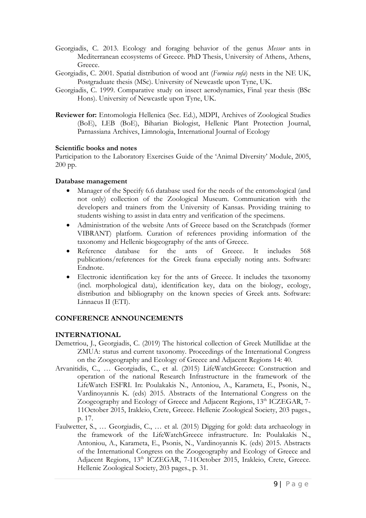- Georgiadis, C. 2013. Ecology and foraging behavior of the genus *Messor* ants in Mediterranean ecosystems of Greece. PhD Thesis, University of Athens, Athens, Greece.
- Georgiadis, C. 2001. Spatial distribution of wood ant (*Formica rufa*) nests in the NE UK, Postgraduate thesis (MSc). University of Newcastle upon Tyne, UK.
- Georgiadis, C. 1999. Comparative study on insect aerodynamics, Final year thesis (BSc Hons). University of Newcastle upon Tyne, UK.
- **Reviewer for:** Entomologia Hellenica (Sec. Ed.), MDPI, Archives of Zoological Studies (BoE), LEB (BoE), Biharian Biologist, Hellenic Plant Protection Journal, Parnassiana Archives, Limnologia, International Journal of Ecology

#### **Scientific books and notes**

Participation to the Laboratory Exercises Guide of the 'Animal Diversity' Module, 2005, 200 pp.

#### **Database management**

- Manager of the Specify 6.6 database used for the needs of the entomological (and not only) collection of the Zoological Museum. Communication with the developers and trainers from the University of Kansas. Providing training to students wishing to assist in data entry and verification of the specimens.
- Administration of the website Ants of Greece based on the Scratchpads (former VIBRANT) platform. Curation of references providing information of the taxonomy and Hellenic biogeography of the ants of Greece.
- Reference database for the ants of Greece. It includes 568 publications/references for the Greek fauna especially noting ants. Software: Endnote.
- Electronic identification key for the ants of Greece. It includes the taxonomy (incl. morphological data), identification key, data on the biology, ecology, distribution and bibliography on the known species of Greek ants. Software: Linnaeus II (ETI).

# **CONFERENCE ANNOUNCEMENTS**

# **INTERNATIONAL**

- Demetriou, J., Georgiadis, C. (2019) The historical collection of Greek Mutillidae at the ZMUA: status and current taxonomy. Proceedings of the International Congress on the Zoogeography and Ecology of Greece and Adjacent Regions 14: 40.
- Arvanitidis, C., … Georgiadis, C., et al. (2015) LifeWatchGreece: Construction and operation of the national Research Infrastructure in the framework of the LifeWatch ESFRI. In: Poulakakis N., Antoniou, A., Karameta, E., Psonis, N., Vardinoyannis K. (eds) 2015. Abstracts of the International Congress on the Zoogeography and Ecology of Greece and Adjacent Regions, 13<sup>th</sup> ICZEGAR, 7-11October 2015, Irakleio, Crete, Greece. Hellenic Zoological Society, 203 pages., p. 17.
- Faulwetter, S., … Georgiadis, C., … et al. (2015) Digging for gold: data archaeology in the framework of the LifeWatchGreece infrastructure. In: Poulakakis N., Antoniou, A., Karameta, E., Psonis, N., Vardinoyannis K. (eds) 2015. Abstracts of the International Congress on the Zoogeography and Ecology of Greece and Adjacent Regions, 13<sup>th</sup> ICZEGAR, 7-11October 2015, Irakleio, Crete, Greece. Hellenic Zoological Society, 203 pages., p. 31.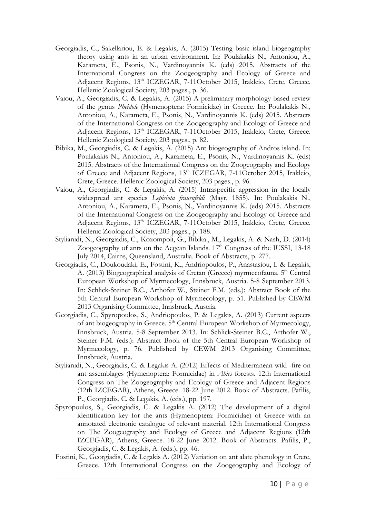- Georgiadis, C., Sakellariou, E. & Legakis, A. (2015) Testing basic island biogeography theory using ants in an urban environment. In: Poulakakis N., Antoniou, A., Karameta, E., Psonis, N., Vardinoyannis K. (eds) 2015. Abstracts of the International Congress on the Zoogeography and Ecology of Greece and Adjacent Regions, 13<sup>th</sup> ICZEGAR, 7-11October 2015, Irakleio, Crete, Greece. Hellenic Zoological Society, 203 pages., p. 36.
- Vaiou, A., Georgiadis, C. & Legakis, A. (2015) A preliminary morphology based review of the genus *Pheidole* (Hymenoptera: Formicidae) in Greece. In: Poulakakis N., Antoniou, A., Karameta, E., Psonis, N., Vardinoyannis K. (eds) 2015. Abstracts of the International Congress on the Zoogeography and Ecology of Greece and Adjacent Regions, 13<sup>th</sup> ICZEGAR, 7-11October 2015, Irakleio, Crete, Greece. Hellenic Zoological Society, 203 pages., p. 82.
- Bibika, M., Georgiadis, C. & Legakis, A. (2015) Ant biogeography of Andros island. In: Poulakakis N., Antoniou, A., Karameta, E., Psonis, N., Vardinoyannis K. (eds) 2015. Abstracts of the International Congress on the Zoogeography and Ecology of Greece and Adjacent Regions, 13<sup>th</sup> ICZEGAR, 7-11October 2015, Irakleio, Crete, Greece. Hellenic Zoological Society, 203 pages., p. 96.
- Vaiou, A., Georgiadis, C. & Legakis, A. (2015) Intraspecific aggression in the locally widespread ant species *Lepisiota frauenfeldi* (Mayr, 1855). In: Poulakakis N., Antoniou, A., Karameta, E., Psonis, N., Vardinoyannis K. (eds) 2015. Abstracts of the International Congress on the Zoogeography and Ecology of Greece and Adjacent Regions, 13<sup>th</sup> ICZEGAR, 7-11October 2015, Irakleio, Crete, Greece. Hellenic Zoological Society, 203 pages., p. 188.
- Stylianidi, N., Georgiadis, C., Kozompoli, G., Bibika., M., Legakis, A. & Nash, D. (2014) Zoogeography of ants on the Aegean Islands.  $17<sup>th</sup>$  Congress of the IUSSI,  $13-18$ July 2014, Cairns, Queensland, Australia. Book of Abstracts, p. 277.
- Georgiadis, C., Doukoudaki, E., Fostini, K., Andriopoulos, P., Anastasiou, I. & Legakis, A. (2013) Biogeographical analysis of Cretan (Greece) myrmecofauna. 5<sup>th</sup> Central European Workshop of Myrmecology, Innsbruck, Austria. 5-8 September 2013. In: Schlick‐Steiner B.C., Arthofer W., Steiner F.M. (eds.): Abstract Book of the 5th Central European Workshop of Myrmecology, p. 51. Published by CEWM 2013 Organising Committee, Innsbruck, Austria.
- Georgiadis, C., Spyropoulos, S., Andriopoulos, P. & Legakis, A. (2013) Current aspects of ant biogeography in Greece. 5<sup>th</sup> Central European Workshop of Myrmecology, Innsbruck, Austria. 5-8 September 2013. In: Schlick‐Steiner B.C., Arthofer W., Steiner F.M. (eds.): Abstract Book of the 5th Central European Workshop of Myrmecology, p. 76. Published by CEWM 2013 Organising Committee, Innsbruck, Austria.
- Stylianidi, N., Georgiadis, C. & Legakis A. (2012) Effects of Mediterranean wild -fire on ant assemblages (Hymenoptera: Formicidae) in *Abies* forests. 12th International Congress on The Zoogeography and Ecology of Greece and Adjacent Regions (12th IZCEGAR), Athens, Greece. 18-22 June 2012. Book of Abstracts. Pafilis, P., Georgiadis, C. & Legakis, A. (eds.), pp. 197.
- Spyropoulos, S., Georgiadis, C. & Legakis A. (2012) The development of a digital identification key for the ants (Hymenoptera: Formicidae) of Greece with an annotated electronic catalogue of relevant material. 12th International Congress on The Zoogeography and Ecology of Greece and Adjacent Regions (12th IZCEGAR), Athens, Greece. 18-22 June 2012. Book of Abstracts. Pafilis, P., Georgiadis, C. & Legakis, A. (eds.), pp. 46.
- Fostini, K., Georgiadis, C. & Legakis A. (2012) Variation on ant alate phenology in Crete, Greece. 12th International Congress on the Zoogeography and Ecology of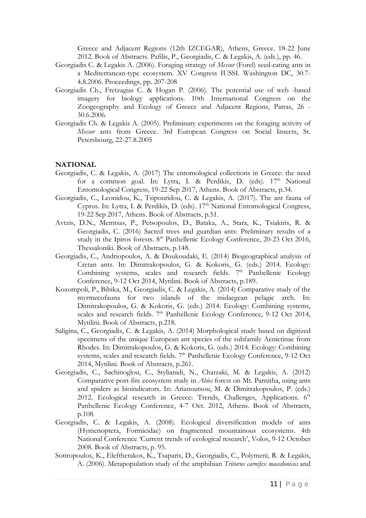Greece and Adjacent Regions (12th IZCEGAR), Athens, Greece. 18-22 June 2012. Book of Abstracts. Pafilis, P., Georgiadis, C. & Legakis, A. (eds.), pp. 46.

- Georgiadis C. & Legakis A. (2006). Foraging strategy of *Messor* (Forel) seed-eating ants in a Mediterranean-type ecosystem. XV Congress IUSSI. Washington DC, 30.7- 4.8.2006. Proceedings, pp. 207-208
- Georgiadis Ch., Fretzagias C. & Hogan P. (2006). The potential use of web -based imagery for biology applications. 10th International Congress on the Zoogeography and Ecology of Greece and Adjacent Regions, Patras, 26 - 30.6.2006.
- Georgiadis Ch. & Legakis A. (2005). Preliminary experiments on the foraging activity of *Messor* ants from Greece. 3rd European Congress on Social Insects, St. Petersbourg, 22-27.8.2005

#### **NATIONAL**

- Georgiadis, C. & Legakis, A. (2017) The entomological collections in Greece: the need for a common goal. In: Lytra, I. & Perdikis, D. (eds).  $17<sup>th</sup>$  National Entomological Congress, 19-22 Sep 2017, Athens. Book of Abstracts, p.34.
- Georgiadis, C., Leonidou, K., Tsipouridou, C. & Legakis, A. (2017). The ant fauna of Cyprus. In: Lytra, I. & Perdikis, D. (eds). 17<sup>th</sup> National Entomological Congress, 19-22 Sep 2017, Athens. Book of Abstracts, p.51.
- Avtzis, D.N., Memtsas, P., Petsopoulos, D., Bataka, A., Stara, K., Tsiakiris, R. & Georgiadis, C. (2016) Sacred trees and guardian ants: Preliminary results of a study in the Ipiros forests.  $8<sup>th</sup>$  Panhellenic Ecology Conference, 20-23 Oct 2016, Thessaloniki. Book of Abstracts, p.148.
- Georgiadis, C., Andriopoulos, A. & Doukoudaki, E. (2014) Biogeographical analysis of Cretan ants. In: Dimitrakopoulos, G. & Kokoris, G. (eds.) 2014. Ecology: Combining systems, scales and research fields.  $7<sup>th</sup>$  Panhellenic Ecology Conference, 9-12 Oct 2014, Mytilini. Book of Abstracts, p.189.
- Kozompoli, P., Bibika, M., Georgiadis, C. & Legakis, A. (2014) Comparative study of the myrmecofauna for two islands of the midaegean pelagic arch. In: Dimitrakopoulos, G. & Kokoris, G. (eds.) 2014. Ecology: Combining systems, scales and research fields. 7<sup>th</sup> Panhellenic Ecology Conference, 9-12 Oct 2014, Mytilini. Book of Abstracts, p.218.
- Saligina, C., Georgiadis, C. & Legakis, A. (2014) Morphological study based on digitized specimens of the unique European ant species of the subfamily Aenictinae from Rhodes. In: Dimitrakopoulos, G. & Kokoris, G. (eds.) 2014. Ecology: Combining systems, scales and research fields. 7<sup>th</sup> Panhellenic Ecology Conference, 9-12 Oct 2014, Mytilini. Book of Abstracts, p.261.
- Georgiadis, C., Sachinoglou, C., Stylianidi, N., Chatzaki, M. & Legakis, A. (2012) Comparative post-fire ecosystem study in *Abies* forest on Mt. Parnitha, using ants and spiders as bioindicators. In: Arianoutsou, M. & Dimitrakopoulos, P. (eds.) 2012. Ecological research in Greece: Trends, Challenges, Applications.  $6<sup>th</sup>$ Panhellenic Ecology Conference, 4-7 Oct. 2012, Athens. Book of Abstracts, p.108.
- Georgiadis, C. & Legakis, A. (2008). Ecological diversification models of ants (Hymenoptera, Formicidae) on fragmented mountainous ecosystems. 4th National Conference 'Current trends of ecological research', Volos, 9-12 October 2008. Book of Abstracts, p. 95.
- Sotiropoulos, K., Eleftherakos, K., Tsaparis, D., Georgiadis, C., Polymeni, R. & Legakis, A. (2006). Metapopulation study of the amphibian *Triturus carnifex macedonicus* and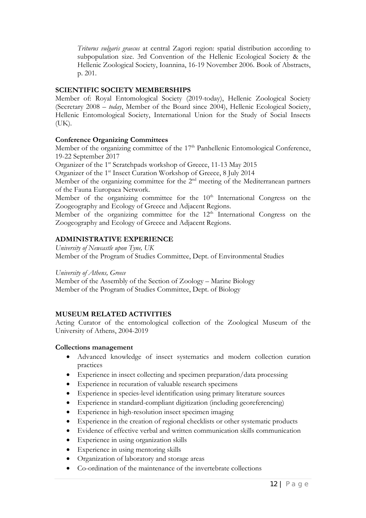*Triturus vulgaris graecus* at central Zagori region: spatial distribution according to subpopulation size. 3rd Convention of the Hellenic Ecological Society & the Hellenic Zoological Society, Ioannina, 16-19 November 2006. Book of Abstracts, p. 201.

# **SCIENTIFIC SOCIETY MEMBERSHIPS**

Member of: Royal Entomological Society (2019-today), Hellenic Zoological Society (Secretary 2008 – *today*, Member of the Board since 2004), Hellenic Ecological Society, Hellenic Entomological Society, International Union for the Study of Social Insects (UK).

# **Conference Organizing Committees**

Member of the organizing committee of the 17<sup>th</sup> Panhellenic Entomological Conference, 19-22 September 2017

Organizer of the 1<sup>st</sup> Scratchpads workshop of Greece, 11-13 May 2015

Organizer of the 1<sup>st</sup> Insect Curation Workshop of Greece, 8 July 2014

Member of the organizing committee for the 2<sup>nd</sup> meeting of the Mediterranean partners of the Fauna Europaea Network.

Member of the organizing committee for the  $10<sup>th</sup>$  International Congress on the Zoogeography and Ecology of Greece and Adjacent Regions.

Member of the organizing committee for the 12<sup>th</sup> International Congress on the Zoogeography and Ecology of Greece and Adjacent Regions.

# **ADMINISTRATIVE EXPERIENCE**

*University of Newcastle upon Tyne, UK*  Member of the Program of Studies Committee, Dept. of Environmental Studies

*University of Athens, Greece* 

Member of the Assembly of the Section of Zoology – Marine Biology Member of the Program of Studies Committee, Dept. of Biology

# **MUSEUM RELATED ACTIVITIES**

Acting Curator of the entomological collection of the Zoological Museum of the University of Athens, 2004-2019

# **Collections management**

- Advanced knowledge of insect systematics and modern collection curation practices
- Experience in insect collecting and specimen preparation/data processing
- Experience in recuration of valuable research specimens
- Experience in species-level identification using primary literature sources
- Experience in standard-compliant digitization (including georeferencing)
- Experience in high-resolution insect specimen imaging
- Experience in the creation of regional checklists or other systematic products
- Evidence of effective verbal and written communication skills communication
- Experience in using organization skills
- Experience in using mentoring skills
- Organization of laboratory and storage areas
- Co-ordination of the maintenance of the invertebrate collections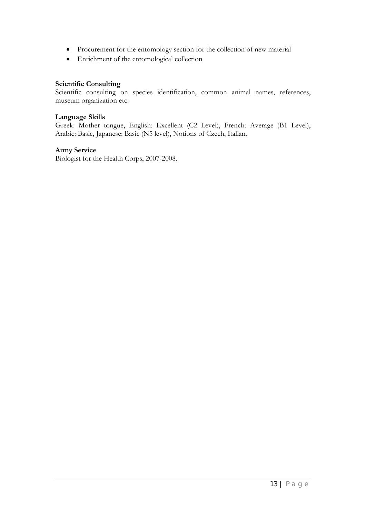- Procurement for the entomology section for the collection of new material
- Enrichment of the entomological collection

#### **Scientific Consulting**

Scientific consulting on species identification, common animal names, references, museum organization etc.

#### **Language Skills**

Greek: Mother tongue, English: Excellent (C2 Level), French: Average (B1 Level), Arabic: Basic, Japanese: Basic (N5 level), Notions of Czech, Italian.

#### **Army Service**

Biologist for the Health Corps, 2007-2008.